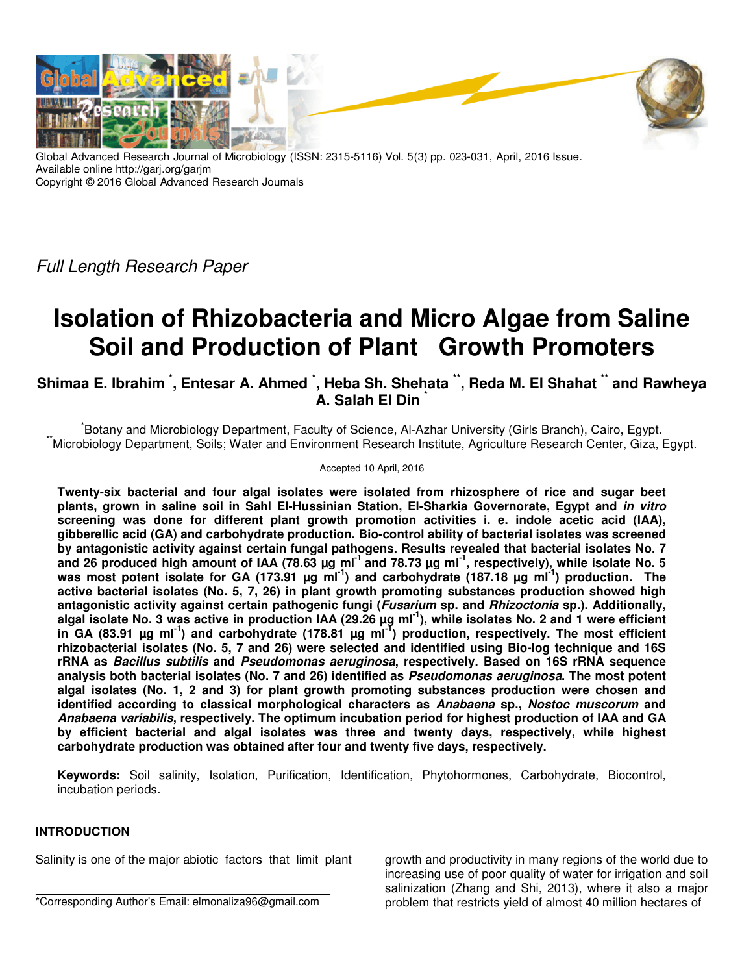

Global Advanced Research Journal of Microbiology (ISSN: 2315-5116) Vol. 5(3) pp. 023-031, April, 2016 Issue. Available online http://garj.org/garjm Copyright © 2016 Global Advanced Research Journals

Full Length Research Paper

# **Isolation of Rhizobacteria and Micro Algae from Saline Soil and Production of Plant Growth Promoters**

# **Shimaa E. Ibrahim \* , Entesar A. Ahmed \* , Heba Sh. Shehata \*\*, Reda M. El Shahat \*\* and Rawheya A. Salah El Din \***

**\*** Botany and Microbiology Department, Faculty of Science, Al-Azhar University (Girls Branch), Cairo, Egypt. **\*\***Microbiology Department, Soils; Water and Environment Research Institute, Agriculture Research Center, Giza, Egypt.

#### Accepted 10 April, 2016

**Twenty-six bacterial and four algal isolates were isolated from rhizosphere of rice and sugar beet plants, grown in saline soil in Sahl El-Hussinian Station, El-Sharkia Governorate, Egypt and in vitro screening was done for different plant growth promotion activities i. e. indole acetic acid (IAA), gibberellic acid (GA) and carbohydrate production. Bio-control ability of bacterial isolates was screened by antagonistic activity against certain fungal pathogens. Results revealed that bacterial isolates No. 7 and 26 produced high amount of IAA (78.63 µg ml-1 and 78.73 µg ml-1, respectively), while isolate No. 5 was most potent isolate for GA (173.91 µg ml-1) and carbohydrate (187.18 µg ml-1) production. The active bacterial isolates (No. 5, 7, 26) in plant growth promoting substances production showed high antagonistic activity against certain pathogenic fungi (Fusarium sp. and Rhizoctonia sp.). Additionally, algal isolate No. 3 was active in production IAA (29.26 µg ml-1), while isolates No. 2 and 1 were efficient in GA (83.91 µg ml-1) and carbohydrate (178.81 µg ml-1) production, respectively. The most efficient rhizobacterial isolates (No. 5, 7 and 26) were selected and identified using Bio-log technique and 16S rRNA as Bacillus subtilis and Pseudomonas aeruginosa, respectively. Based on 16S rRNA sequence analysis both bacterial isolates (No. 7 and 26) identified as Pseudomonas aeruginosa. The most potent algal isolates (No. 1, 2 and 3) for plant growth promoting substances production were chosen and identified according to classical morphological characters as Anabaena sp., Nostoc muscorum and Anabaena variabilis, respectively. The optimum incubation period for highest production of IAA and GA by efficient bacterial and algal isolates was three and twenty days, respectively, while highest carbohydrate production was obtained after four and twenty five days, respectively.** 

**Keywords:** Soil salinity, Isolation, Purification, Identification, Phytohormones, Carbohydrate, Biocontrol, incubation periods.

# **INTRODUCTION**

Salinity is one of the major abiotic factors that limit plant

growth and productivity in many regions of the world due to increasing use of poor quality of water for irrigation and soil salinization (Zhang and Shi, 2013), where it also a major problem that restricts yield of almost 40 million hectares of

<sup>\*</sup>Corresponding Author's Email: elmonaliza96@gmail.com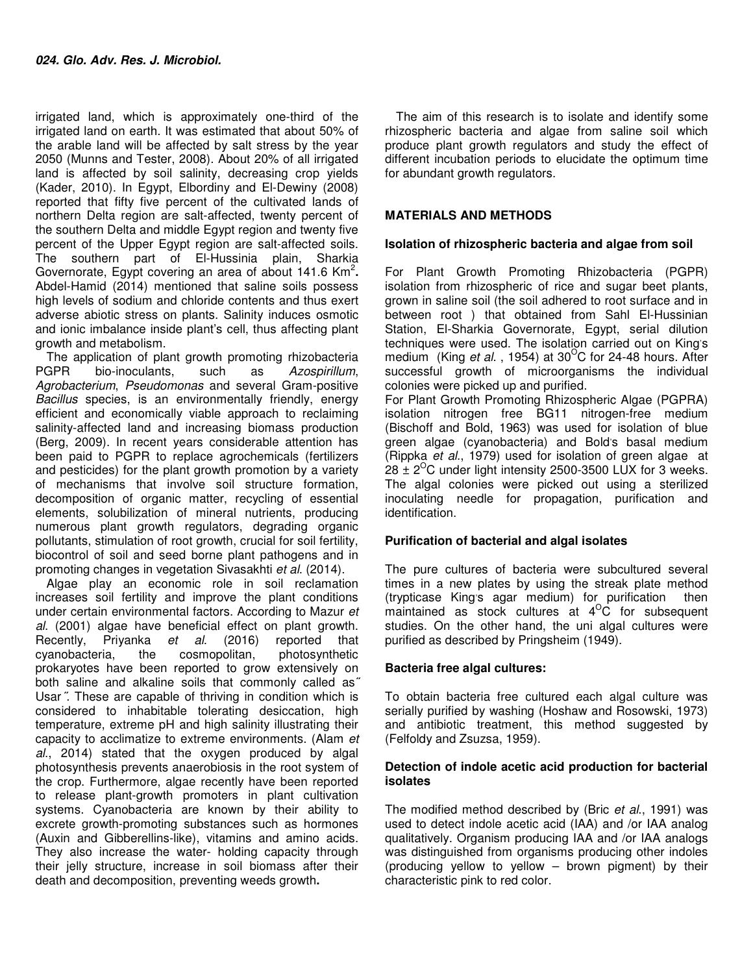irrigated land, which is approximately one-third of the irrigated land on earth. It was estimated that about 50% of the arable land will be affected by salt stress by the year 2050 (Munns and Tester, 2008). About 20% of all irrigated land is affected by soil salinity, decreasing crop yields (Kader, 2010). In Egypt, Elbordiny and El-Dewiny (2008) reported that fifty five percent of the cultivated lands of northern Delta region are salt-affected, twenty percent of the southern Delta and middle Egypt region and twenty five percent of the Upper Egypt region are salt-affected soils. The southern part of El-Hussinia plain, Sharkia Governorate, Egypt covering an area of about 141.6 Km<sup>2</sup>. Abdel-Hamid (2014) mentioned that saline soils possess high levels of sodium and chloride contents and thus exert adverse abiotic stress on plants. Salinity induces osmotic and ionic imbalance inside plant's cell, thus affecting plant growth and metabolism.

The application of plant growth promoting rhizobacteria PGPR bio-inoculants, such as Azospirillum, Agrobacterium, Pseudomonas and several Gram-positive Bacillus species, is an environmentally friendly, energy efficient and economically viable approach to reclaiming salinity-affected land and increasing biomass production (Berg, 2009). In recent years considerable attention has been paid to PGPR to replace agrochemicals (fertilizers and pesticides) for the plant growth promotion by a variety of mechanisms that involve soil structure formation, decomposition of organic matter, recycling of essential elements, solubilization of mineral nutrients, producing numerous plant growth regulators, degrading organic pollutants, stimulation of root growth, crucial for soil fertility, biocontrol of soil and seed borne plant pathogens and in promoting changes in vegetation Sivasakhti et al. (2014).

Algae play an economic role in soil reclamation increases soil fertility and improve the plant conditions under certain environmental factors. According to Mazur et al. (2001) algae have beneficial effect on plant growth. Recently, Priyanka et al. (2016) reported that cyanobacteria, the cosmopolitan, photosynthetic prokaryotes have been reported to grow extensively on both saline and alkaline soils that commonly called as" Usar". These are capable of thriving in condition which is considered to inhabitable tolerating desiccation, high temperature, extreme pH and high salinity illustrating their capacity to acclimatize to extreme environments. (Alam et al., 2014) stated that the oxygen produced by algal photosynthesis prevents anaerobiosis in the root system of the crop. Furthermore, algae recently have been reported to release plant-growth promoters in plant cultivation systems. Cyanobacteria are known by their ability to excrete growth-promoting substances such as hormones (Auxin and Gibberellins-like), vitamins and amino acids. They also increase the water- holding capacity through their jelly structure, increase in soil biomass after their death and decomposition, preventing weeds growth**.** 

The aim of this research is to isolate and identify some rhizospheric bacteria and algae from saline soil which produce plant growth regulators and study the effect of different incubation periods to elucidate the optimum time for abundant growth regulators.

#### **MATERIALS AND METHODS**

#### **Isolation of rhizospheric bacteria and algae from soil**

For Plant Growth Promoting Rhizobacteria (PGPR) isolation from rhizospheric of rice and sugar beet plants, grown in saline soil (the soil adhered to root surface and in between root ) that obtained from Sahl El-Hussinian Station, El-Sharkia Governorate, Egypt, serial dilution techniques were used. The isolation carried out on King's medium (King et al., 1954) at  $30^{\circ}$ C for 24-48 hours. After successful growth of microorganisms the individual colonies were picked up and purified.

For Plant Growth Promoting Rhizospheric Algae (PGPRA) isolation nitrogen free BG11 nitrogen-free medium (Bischoff and Bold, 1963) was used for isolation of blue green algae (cyanobacteria) and Bold, s basal medium (Rippka et al., 1979) used for isolation of green algae at  $28 \pm 2^{\circ}$ C under light intensity 2500-3500 LUX for 3 weeks. The algal colonies were picked out using a sterilized inoculating needle for propagation, purification and identification.

#### **Purification of bacterial and algal isolates**

The pure cultures of bacteria were subcultured several times in a new plates by using the streak plate method (trypticase King, s agar medium) for purification then maintained as stock cultures at  $4^{\circ}$ C for subsequent studies. On the other hand, the uni algal cultures were purified as described by Pringsheim (1949).

#### **Bacteria free algal cultures:**

To obtain bacteria free cultured each algal culture was serially purified by washing (Hoshaw and Rosowski, 1973) and antibiotic treatment, this method suggested by (Felfoldy and Zsuzsa, 1959).

#### **Detection of indole acetic acid production for bacterial isolates**

The modified method described by (Bric et al., 1991) was used to detect indole acetic acid (IAA) and /or IAA analog qualitatively. Organism producing IAA and /or IAA analogs was distinguished from organisms producing other indoles (producing yellow to yellow – brown pigment) by their characteristic pink to red color.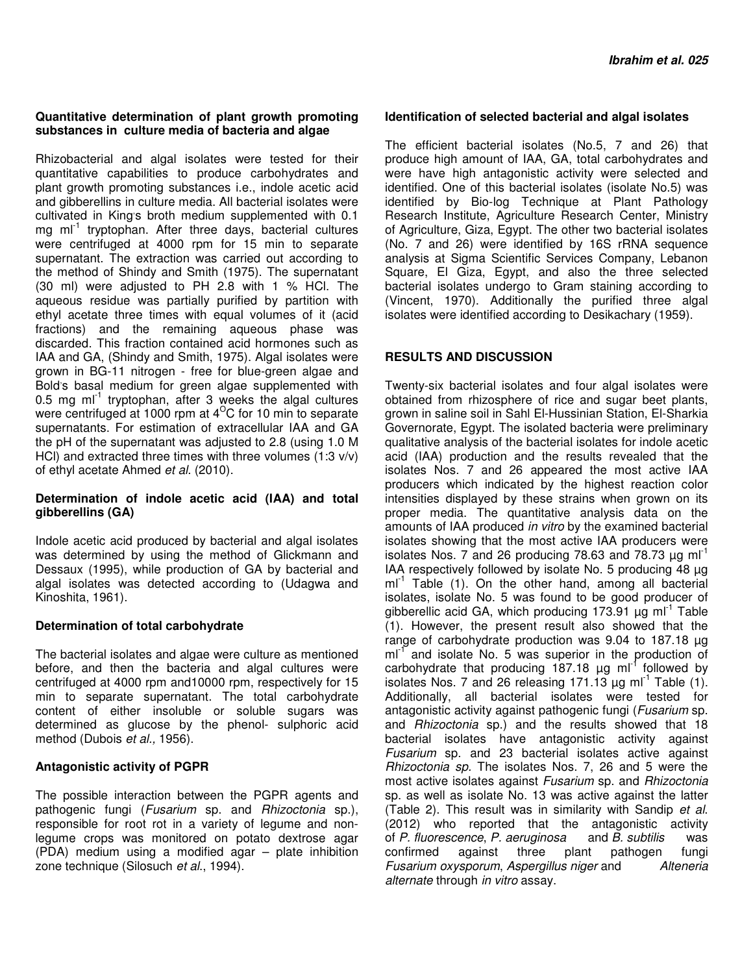### **Quantitative determination of plant growth promoting substances in culture media of bacteria and algae**

Rhizobacterial and algal isolates were tested for their quantitative capabilities to produce carbohydrates and plant growth promoting substances i.e., indole acetic acid and gibberellins in culture media. All bacterial isolates were cultivated in King's broth medium supplemented with 0.1 mg ml<sup>-1</sup> tryptophan. After three days, bacterial cultures were centrifuged at 4000 rpm for 15 min to separate supernatant. The extraction was carried out according to the method of Shindy and Smith (1975). The supernatant (30 ml) were adjusted to PH 2.8 with 1 % HCl. The aqueous residue was partially purified by partition with ethyl acetate three times with equal volumes of it (acid fractions) and the remaining aqueous phase was discarded. This fraction contained acid hormones such as IAA and GA, (Shindy and Smith, 1975). Algal isolates were grown in BG-11 nitrogen - free for blue-green algae and Bold's basal medium for green algae supplemented with 0.5 mg m $I<sup>-1</sup>$  tryptophan, after 3 weeks the algal cultures were centrifuged at 1000 rpm at  $4^{\circ}$ C for 10 min to separate supernatants. For estimation of extracellular IAA and GA the pH of the supernatant was adjusted to 2.8 (using 1.0 M HCl) and extracted three times with three volumes (1:3 v/v) of ethyl acetate Ahmed et al. (2010).

## **Determination of indole acetic acid (IAA) and total gibberellins (GA)**

Indole acetic acid produced by bacterial and algal isolates was determined by using the method of Glickmann and Dessaux (1995), while production of GA by bacterial and algal isolates was detected according to (Udagwa and Kinoshita, 1961).

# **Determination of total carbohydrate**

The bacterial isolates and algae were culture as mentioned before, and then the bacteria and algal cultures were centrifuged at 4000 rpm and10000 rpm, respectively for 15 min to separate supernatant. The total carbohydrate content of either insoluble or soluble sugars was determined as glucose by the phenol- sulphoric acid method (Dubois et al., 1956).

# **Antagonistic activity of PGPR**

The possible interaction between the PGPR agents and pathogenic fungi (Fusarium sp. and Rhizoctonia sp.), responsible for root rot in a variety of legume and nonlegume crops was monitored on potato dextrose agar (PDA) medium using a modified agar – plate inhibition zone technique (Silosuch et al., 1994).

## **Identification of selected bacterial and algal isolates**

The efficient bacterial isolates (No.5, 7 and 26) that produce high amount of IAA, GA, total carbohydrates and were have high antagonistic activity were selected and identified. One of this bacterial isolates (isolate No.5) was identified by Bio-log Technique at Plant Pathology Research Institute, Agriculture Research Center, Ministry of Agriculture, Giza, Egypt. The other two bacterial isolates (No. 7 and 26) were identified by 16S rRNA sequence analysis at Sigma Scientific Services Company, Lebanon Square, El Giza, Egypt, and also the three selected bacterial isolates undergo to Gram staining according to (Vincent, 1970). Additionally the purified three algal isolates were identified according to Desikachary (1959).

# **RESULTS AND DISCUSSION**

Twenty-six bacterial isolates and four algal isolates were obtained from rhizosphere of rice and sugar beet plants, grown in saline soil in Sahl El-Hussinian Station, El-Sharkia Governorate, Egypt. The isolated bacteria were preliminary qualitative analysis of the bacterial isolates for indole acetic acid (IAA) production and the results revealed that the isolates Nos. 7 and 26 appeared the most active IAA producers which indicated by the highest reaction color intensities displayed by these strains when grown on its proper media. The quantitative analysis data on the amounts of IAA produced in vitro by the examined bacterial isolates showing that the most active IAA producers were isolates Nos. 7 and 26 producing 78.63 and 78.73  $\mu$ g ml<sup>-1</sup> IAA respectively followed by isolate No. 5 producing 48 µg  $ml^{-1}$  Table (1). On the other hand, among all bacterial isolates, isolate No. 5 was found to be good producer of gibberellic acid GA, which producing 173.91  $\mu$ g ml<sup>-1</sup> Table (1). However, the present result also showed that the range of carbohydrate production was 9.04 to 187.18 µg  $ml<sup>-1</sup>$  and isolate No. 5 was superior in the production of carbohydrate that producing  $187.18 \mu g$  ml<sup>-1</sup> followed by isolates Nos. 7 and 26 releasing 171.13  $\mu$ g ml<sup>-1</sup> Table (1). Additionally, all bacterial isolates were tested for antagonistic activity against pathogenic fungi (Fusarium sp. and Rhizoctonia sp.) and the results showed that 18 bacterial isolates have antagonistic activity against Fusarium sp. and 23 bacterial isolates active against Rhizoctonia sp. The isolates Nos. 7, 26 and 5 were the most active isolates against Fusarium sp. and Rhizoctonia sp. as well as isolate No. 13 was active against the latter (Table 2). This result was in similarity with Sandip et al. (2012) who reported that the antagonistic activity of P. fluorescence, P. aeruginosa and B. subtilis was confirmed against three plant pathogen fungi Fusarium oxysporum, Aspergillus niger and Alteneria alternate through in vitro assay.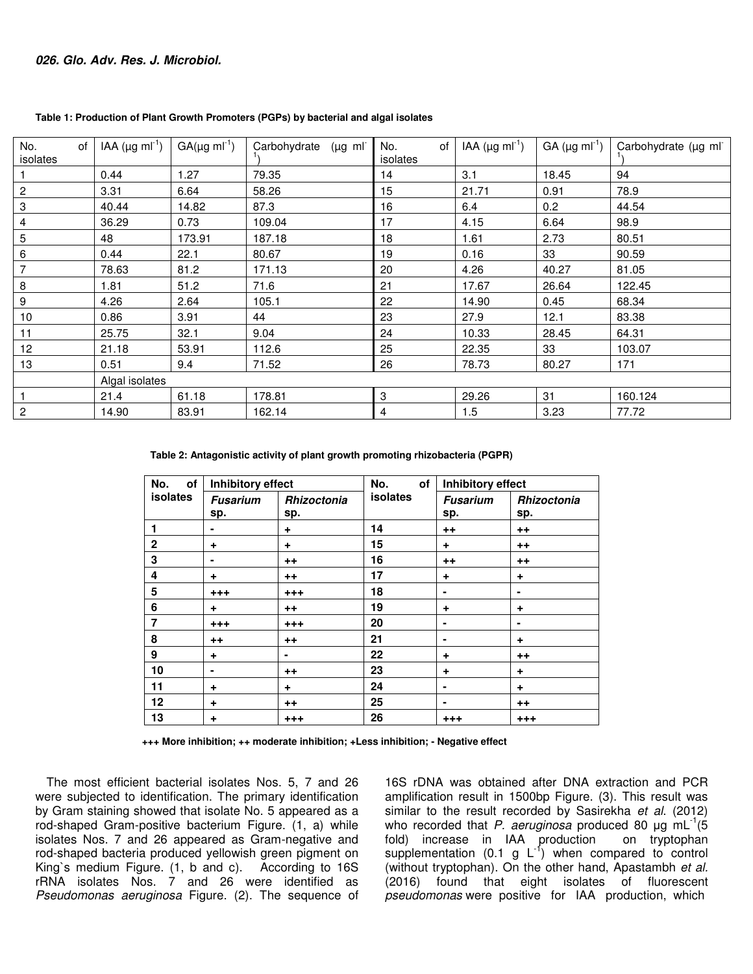| No.<br>isolates | IAA ( $\mu$ g ml <sup>-1</sup> )<br>of | $GA(\mu g \text{ ml}^{-1})$ | Carbohydrate<br>(μg ml | of<br>No.<br>isolates | IAA ( $\mu$ g ml <sup>-1</sup> ) | $GA ( \mu g ml^{-1})$ | Carbohydrate (µg ml |  |  |
|-----------------|----------------------------------------|-----------------------------|------------------------|-----------------------|----------------------------------|-----------------------|---------------------|--|--|
|                 | 0.44                                   | 1.27                        | 79.35                  | 14                    | 3.1                              | 18.45                 | 94                  |  |  |
| 2               | 3.31                                   | 6.64                        | 58.26                  | 15                    | 21.71                            | 0.91                  | 78.9                |  |  |
| 3               | 40.44                                  | 14.82                       | 87.3                   | 16                    | 6.4                              | 0.2                   | 44.54               |  |  |
| 4               | 36.29                                  | 0.73                        | 109.04                 | 17                    | 4.15                             | 6.64                  | 98.9                |  |  |
| 5               | 48                                     | 173.91                      | 187.18                 | 18                    | 1.61                             | 2.73                  | 80.51               |  |  |
| 6               | 0.44                                   | 22.1                        | 80.67                  | 19                    | 0.16                             | 33                    | 90.59               |  |  |
| 7               | 78.63                                  | 81.2                        | 171.13                 | 20                    | 4.26                             | 40.27                 | 81.05               |  |  |
| 8               | 1.81                                   | 51.2                        | 71.6                   | 21                    | 17.67                            | 26.64                 | 122.45              |  |  |
| 9               | 4.26                                   | 2.64                        | 105.1                  | 22                    | 14.90                            | 0.45                  | 68.34               |  |  |
| 10              | 0.86                                   | 3.91                        | 44                     | 23                    | 27.9                             | 12.1                  | 83.38               |  |  |
| 11              | 25.75                                  | 32.1                        | 9.04                   | 24                    | 10.33                            | 28.45                 | 64.31               |  |  |
| 12              | 21.18                                  | 53.91                       | 112.6                  | 25                    | 22.35                            | 33                    | 103.07              |  |  |
| 13              | 0.51<br>9.4                            |                             | 71.52                  | 26                    | 78.73                            | 80.27                 | 171                 |  |  |
|                 | Algal isolates                         |                             |                        |                       |                                  |                       |                     |  |  |
| 1               | 21.4                                   | 61.18                       | 178.81                 | 3                     | 29.26                            | 31                    | 160.124             |  |  |
| $\overline{c}$  | 14.90                                  | 83.91                       | 162.14                 | 4                     | 1.5                              | 3.23                  | 77.72               |  |  |

**Table 1: Production of Plant Growth Promoters (PGPs) by bacterial and algal isolates** 

 **Table 2: Antagonistic activity of plant growth promoting rhizobacteria (PGPR)** 

| No.<br>of       | Inhibitory effect      |                    | No.<br>of       | Inhibitory effect      |                    |  |  |
|-----------------|------------------------|--------------------|-----------------|------------------------|--------------------|--|--|
| <b>isolates</b> | <b>Fusarium</b><br>sp. | Rhizoctonia<br>sp. | <b>isolates</b> | <b>Fusarium</b><br>sp. | Rhizoctonia<br>sp. |  |  |
| 1               | $\blacksquare$         | $\ddot{}$          | 14              | $++$                   | $^{\mathrm{+}}$    |  |  |
| $\mathbf{2}$    | ÷                      | $\ddot{}$          | 15              | ÷                      | $^{\tiny{++}}$     |  |  |
| 3               | $\blacksquare$         | $++$               | 16              | $^{\mathrm{+}}$        | $^{\tiny{++}}$     |  |  |
| 4               | $\ddot{}$              | $++$               | 17              | $\ddot{}$              | $\ddot{}$          |  |  |
| 5               | $^{+++}$               | $^{+++}$           | 18              | $\blacksquare$         | $\blacksquare$     |  |  |
| 6               | $\ddot{}$              | $++$               | 19              | ٠                      | ٠                  |  |  |
| 7               | $^{+++}$               | $+ + +$            | 20              | $\blacksquare$         | $\blacksquare$     |  |  |
| 8               | $^{++}$                | $++$               | 21              | $\blacksquare$         | ÷                  |  |  |
| 9               | $\ddot{}$              | $\blacksquare$     | 22              | ٠                      | $^{++}$            |  |  |
| 10              | $\blacksquare$         | $^{++}$            | 23              | $\ddot{}$              | ÷                  |  |  |
| 11              | $\ddot{}$              | $\ddot{}$          | 24              | $\blacksquare$         | ÷                  |  |  |
| 12              | $\ddot{}$              | $^{\tiny{++}}$     | 25              | $\blacksquare$         | $^{\mathrm{+}}$    |  |  |
| 13              | $\ddot{}$              | $+ + +$            | 26              | $^{+++}$               | $^{+++}$           |  |  |

 **+++ More inhibition; ++ moderate inhibition; +Less inhibition; - Negative effect** 

The most efficient bacterial isolates Nos. 5, 7 and 26 were subjected to identification. The primary identification by Gram staining showed that isolate No. 5 appeared as a rod-shaped Gram-positive bacterium Figure. (1, a) while isolates Nos. 7 and 26 appeared as Gram-negative and rod-shaped bacteria produced yellowish green pigment on King`s medium Figure. (1, b and c). According to 16S rRNA isolates Nos. 7 and 26 were identified as Pseudomonas aeruginosa Figure. (2). The sequence of

16S rDNA was obtained after DNA extraction and PCR amplification result in 1500bp Figure. (3). This result was similar to the result recorded by Sasirekha et al. (2012) who recorded that P. aeruginosa produced 80  $\mu$ g mL<sup>-1</sup>(5 fold) increase in IAA production on tryptophan supplementation (0.1 g  $L^{-1}$ ) when compared to control (without tryptophan). On the other hand, Apastambh et al. (2016) found that eight isolates of fluorescent pseudomonas were positive for IAA production, which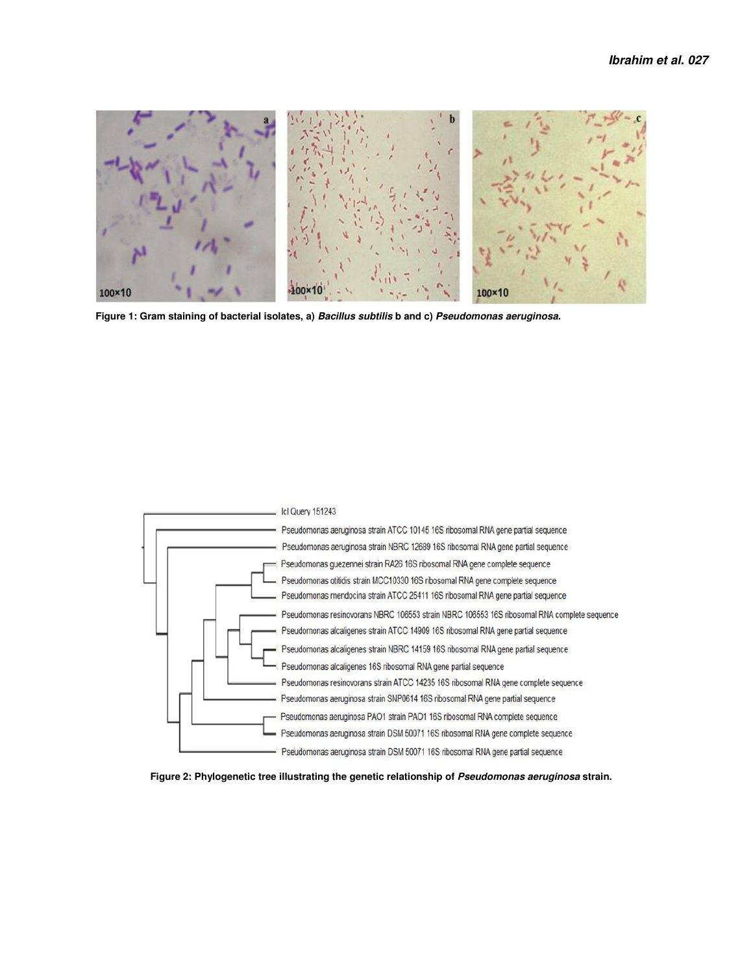

 **Figure 1: Gram staining of bacterial isolates, a) Bacillus subtilis b and c) Pseudomonas aeruginosa.** 



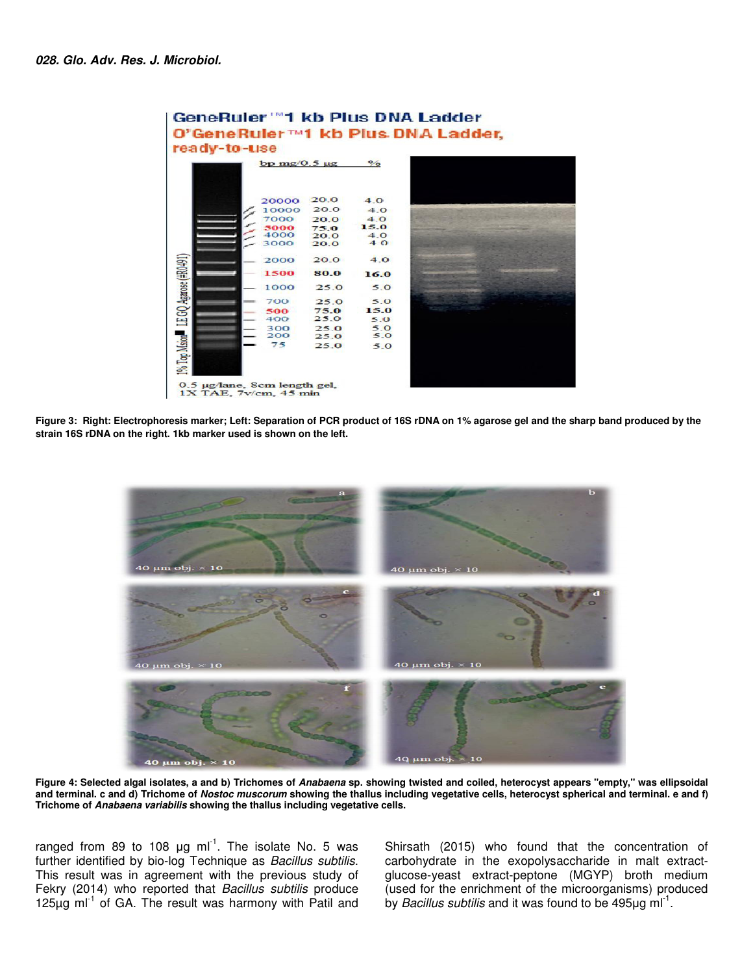

**Figure 3: Right: Electrophoresis marker; Left: Separation of PCR product of 16S rDNA on 1% agarose gel and the sharp band produced by the strain 16S rDNA on the right. 1kb marker used is shown on the left.** 



**Figure 4: Selected algal isolates, a and b) Trichomes of Anabaena sp. showing twisted and coiled, heterocyst appears "empty," was ellipsoidal and terminal. c and d) Trichome of Nostoc muscorum showing the thallus including vegetative cells, heterocyst spherical and terminal. e and f) Trichome of Anabaena variabilis showing the thallus including vegetative cells.**

ranged from 89 to 108  $\mu$ g ml<sup>-1</sup>. The isolate No. 5 was further identified by bio-log Technique as Bacillus subtilis. This result was in agreement with the previous study of Fekry (2014) who reported that Bacillus subtilis produce 125 $\mu$ g m $I<sup>-1</sup>$  of GA. The result was harmony with Patil and

Shirsath (2015) who found that the concentration of carbohydrate in the exopolysaccharide in malt extractglucose-yeast extract-peptone (MGYP) broth medium (used for the enrichment of the microorganisms) produced by *Bacillus subtilis* and it was found to be 495 $\mu$ g ml<sup>-1</sup>.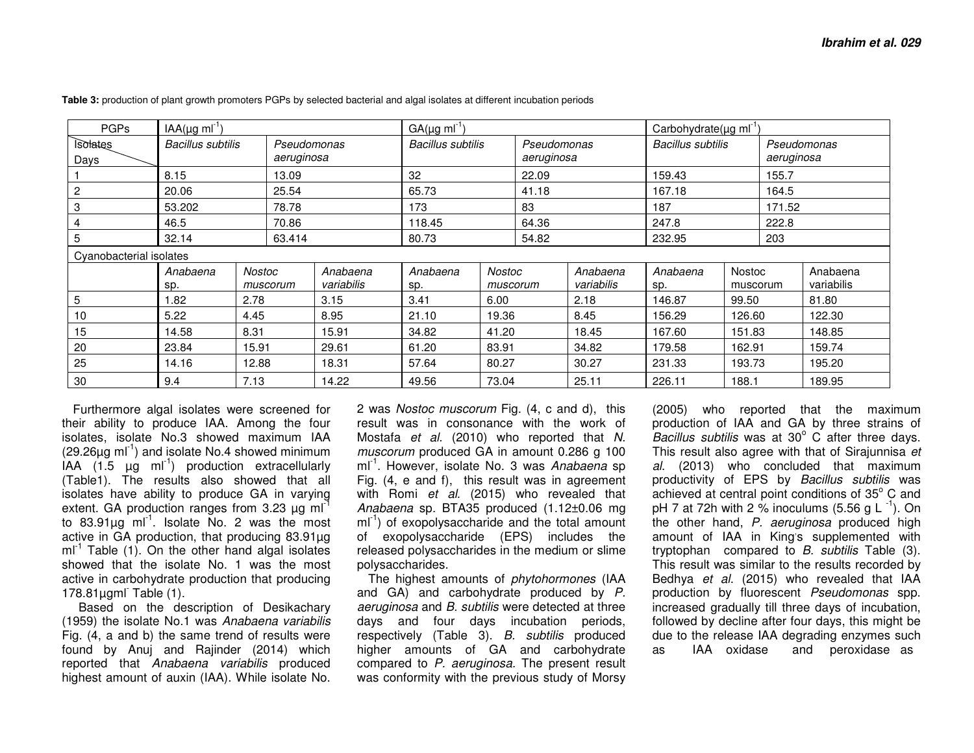| <b>PGPs</b>             | $IAA(\mu g \text{ ml}^{-1})$ |        |                           |                        | $GA(\mu g \text{ ml}^{-1})$ |                           |                           |                        | Carbohydrate( $\mu$ g ml <sup>-1</sup> ) |                    |                           |                        |
|-------------------------|------------------------------|--------|---------------------------|------------------------|-----------------------------|---------------------------|---------------------------|------------------------|------------------------------------------|--------------------|---------------------------|------------------------|
| <b>Isolates</b><br>Days | <b>Bacillus subtilis</b>     |        | Pseudomonas<br>aeruginosa |                        | <b>Bacillus subtilis</b>    |                           | Pseudomonas<br>aeruginosa |                        | <b>Bacillus subtilis</b>                 |                    | Pseudomonas<br>aeruginosa |                        |
|                         | 8.15                         | 13.09  |                           |                        | 32                          |                           | 22.09                     |                        | 159.43                                   |                    | 155.7                     |                        |
| $\overline{c}$          | 20.06                        | 25.54  |                           |                        | 65.73                       |                           | 41.18                     |                        | 167.18                                   |                    | 164.5                     |                        |
| 3                       | 53.202                       | 78.78  |                           |                        | 173                         |                           | 83                        |                        | 187                                      |                    | 171.52                    |                        |
| 4                       | 46.5                         |        |                           |                        | 118.45                      |                           | 64.36                     |                        | 247.8                                    |                    | 222.8                     |                        |
| 5                       | 32.14                        | 63.414 |                           |                        | 80.73                       |                           | 54.82                     |                        | 232.95                                   |                    | 203                       |                        |
| Cyanobacterial isolates |                              |        |                           |                        |                             |                           |                           |                        |                                          |                    |                           |                        |
|                         | Anabaena<br>sp.              | Nostoc | muscorum                  | Anabaena<br>variabilis | Anabaena<br>sp.             | <b>Nostoc</b><br>muscorum |                           | Anabaena<br>variabilis | Anabaena<br>sp.                          | Nostoc<br>muscorum |                           | Anabaena<br>variabilis |
| 5                       | 1.82                         | 2.78   |                           | 3.15                   | 3.41                        | 6.00                      |                           | 2.18                   | 146.87                                   | 99.50              |                           | 81.80                  |
| 10                      | 5.22                         | 4.45   |                           | 8.95                   | 21.10                       | 19.36                     |                           | 8.45                   | 156.29                                   | 126.60             |                           | 122.30                 |
| 15                      | 14.58                        | 8.31   |                           | 15.91                  | 34.82                       | 41.20                     |                           | 18.45                  | 167.60                                   | 151.83             |                           | 148.85                 |
| 20                      | 23.84                        | 15.91  |                           | 29.61                  | 61.20                       | 83.91                     |                           | 34.82                  | 179.58                                   | 162.91             |                           | 159.74                 |
| 25                      | 14.16                        | 12.88  |                           | 18.31                  | 57.64                       | 80.27                     |                           | 30.27                  | 231.33                                   | 193.73             |                           | 195.20                 |
| 30                      | 9.4                          | 7.13   |                           | 14.22                  | 49.56                       | 73.04                     |                           | 25.11                  | 226.11                                   | 188.1              |                           | 189.95                 |

**Table 3:** production of plant growth promoters PGPs by selected bacterial and algal isolates at different incubation periods

Furthermore algal isolates were screened for their ability to produce IAA. Among the four isolates, isolate No.3 showed maximum IAA (29.26 $\mu$ g ml<sup>-1</sup>) and isolate No.4 showed minimum IAA  $(1.5 \text{ µg ml}^{-1})$  production extracellularly (Table1). The results also showed that all isolates have ability to produce GA in varying extent. GA production ranges from 3.23  $\mu$ g m $^{-1}$ to  $83.91\mu g$  ml<sup>-1</sup>. Isolate No. 2 was the most active in GA production, that producing 83.91µg  $ml^{-1}$  Table (1). On the other hand algal isolates showed that the isolate No. 1 was the most active in carbohydrate production that producing 178.81 u ami Table (1).

 Based on the description of Desikachary (1959) the isolate No.1 was Anabaena variabilis Fig. (4, a and b) the same trend of results were found by Anuj and Rajinder (2014) which reported that Anabaena variabilis produced highest amount of auxin (IAA). While isolate No. 2 was Nostoc muscorum Fig. (4, c and d), this result was in consonance with the work of Mostafa et al. (2010) who reported that N. muscorum produced GA in amount 0.286 g 100 ml<sup>-1</sup>. However, isolate No. 3 was Anabaena sp Fig. (4, e and f), this result was in agreement with Romi et al. (2015) who revealed that Anabaena sp. BTA35 produced (1.12±0.06 mg  $ml^{-1}$ ) of exopolysaccharide and the total amount of exopolysaccharide (EPS) includes the released polysaccharides in the medium or slime polysaccharides.

The highest amounts of *phytohormones* (IAA and GA) and carbohydrate produced by P. aeruginosa and B. subtilis were detected at three days and four days incubation periods, respectively (Table 3). B. subtilis produced higher amounts of GA and carbohydrate compared to P. aeruginosa. The present result was conformity with the previous study of Morsy (2005) who reported that the maximum production of IAA and GA by three strains of Bacillus subtilis was at 30 $^{\circ}$  C after three days. This result also agree with that of Sirajunnisa et al. (2013) who concluded that maximum productivity of EPS by Bacillus subtilis was achieved at central point conditions of 35 $^{\circ}$  C and pH 7 at 72h with 2 % inoculums (5.56 g L $^{-1}$ ). On the other hand, P. aeruginosa produced high amount of IAA in King's supplemented with tryptophan compared to B. subtilis Table (3). This result was similar to the results recorded by Bedhya et al. (2015) who revealed that IAA production by fluorescent Pseudomonas spp. increased gradually till three days of incubation, followed by decline after four days, this might be due to the release IAA degrading enzymes such as IAA oxidase and peroxidase as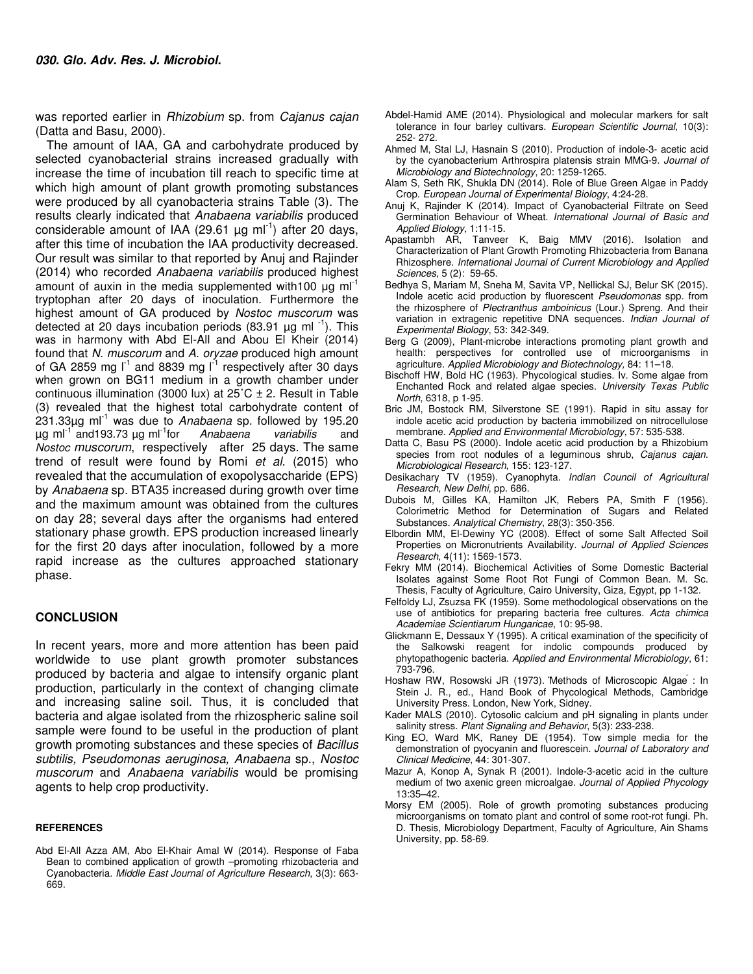was reported earlier in Rhizobium sp. from Cajanus cajan (Datta and Basu, 2000).

The amount of IAA, GA and carbohydrate produced by selected cyanobacterial strains increased gradually with increase the time of incubation till reach to specific time at which high amount of plant growth promoting substances were produced by all cyanobacteria strains Table (3). The results clearly indicated that Anabaena variabilis produced considerable amount of IAA (29.61  $\mu$ g ml<sup>-1</sup>) after 20 days, after this time of incubation the IAA productivity decreased. Our result was similar to that reported by Anuj and Rajinder (2014) who recorded Anabaena variabilis produced highest amount of auxin in the media supplemented with 100  $\mu$ g ml<sup>-1</sup> tryptophan after 20 days of inoculation. Furthermore the highest amount of GA produced by Nostoc muscorum was detected at 20 days incubation periods  $(83.91 \text{ µq ml}^{-1})$ . This was in harmony with Abd El-All and Abou El Kheir (2014) found that N. muscorum and A. oryzae produced high amount of GA 2859 mg  $I^1$  and 8839 mg  $I^1$  respectively after 30 days when grown on BG11 medium in a growth chamber under continuous illumination (3000 lux) at  $25^{\circ}$ C  $\pm$  2. Result in Table (3) revealed that the highest total carbohydrate content of  $231.33\mu$ g ml<sup>-1</sup> was due to Anabaena sp. followed by 195.20  $\mu$ g ml<sup>-1</sup> and 193.73  $\mu$ g ml<sup>-1</sup>for Anabaena variabilis Nostoc muscorum, respectively after 25 days. The same trend of result were found by Romi et al. (2015) who revealed that the accumulation of exopolysaccharide (EPS) by Anabaena sp. BTA35 increased during growth over time and the maximum amount was obtained from the cultures on day 28; several days after the organisms had entered stationary phase growth. EPS production increased linearly for the first 20 days after inoculation, followed by a more rapid increase as the cultures approached stationary phase.

#### **CONCLUSION**

In recent years, more and more attention has been paid worldwide to use plant growth promoter substances produced by bacteria and algae to intensify organic plant production, particularly in the context of changing climate and increasing saline soil. Thus, it is concluded that bacteria and algae isolated from the rhizospheric saline soil sample were found to be useful in the production of plant growth promoting substances and these species of Bacillus subtilis, Pseudomonas aeruginosa, Anabaena sp., Nostoc muscorum and Anabaena variabilis would be promising agents to help crop productivity.

#### **REFERENCES**

Abd El-All Azza AM, Abo El-Khair Amal W (2014). Response of Faba Bean to combined application of growth –promoting rhizobacteria and Cyanobacteria. Middle East Journal of Agriculture Research, 3(3): 663- 669.

- Abdel-Hamid AME (2014). Physiological and molecular markers for salt tolerance in four barley cultivars. European Scientific Journal, 10(3): 252- 272.
- Ahmed M, Stal LJ, Hasnain S (2010). Production of indole-3- acetic acid by the cyanobacterium Arthrospira platensis strain MMG-9. Journal of Microbiology and Biotechnology, 20: 1259-1265.
- Alam S, Seth RK, Shukla DN (2014). Role of Blue Green Algae in Paddy Crop. European Journal of Experimental Biology, 4:24-28.
- Anuj K, Rajinder K (2014). Impact of Cyanobacterial Filtrate on Seed Germination Behaviour of Wheat. International Journal of Basic and Applied Biology, 1:11-15.
- Apastambh AR, Tanveer K, Baig MMV (2016). Isolation and Characterization of Plant Growth Promoting Rhizobacteria from Banana Rhizosphere. International Journal of Current Microbiology and Applied Sciences, 5 (2): 59-65.
- Bedhya S, Mariam M, Sneha M, Savita VP, Nellickal SJ, Belur SK (2015). Indole acetic acid production by fluorescent Pseudomonas spp. from the rhizosphere of Plectranthus amboinicus (Lour.) Spreng. And their variation in extragenic repetitive DNA sequences. Indian Journal of Experimental Biology, 53: 342-349.
- Berg G (2009), Plant-microbe interactions promoting plant growth and health: perspectives for controlled use of microorganisms in agriculture. Applied Microbiology and Biotechnology, 84: 11–18.
- Bischoff HW, Bold HC (1963). Phycological studies. Iv. Some algae from Enchanted Rock and related algae species. University Texas Public North, 6318, p 1-95.
- Bric JM, Bostock RM, Silverstone SE (1991). Rapid in situ assay for indole acetic acid production by bacteria immobilized on nitrocellulose membrane. Applied and Environmental Microbiology, 57: 535-538.
- Datta C, Basu PS (2000). Indole acetic acid production by a Rhizobium species from root nodules of a leguminous shrub, Cajanus cajan. Microbiological Research, 155: 123-127.
- Desikachary TV (1959). Cyanophyta. Indian Council of Agricultural Research, New Delhi, pp. 686.
- Dubois M, Gilles KA, Hamilton JK, Rebers PA, Smith F (1956). Colorimetric Method for Determination of Sugars and Related Substances. Analytical Chemistry, 28(3): 350-356.
- Elbordin MM, El-Dewiny YC (2008). Effect of some Salt Affected Soil Properties on Micronutrients Availability. Journal of Applied Sciences Research, 4(11): 1569-1573.
- Fekry MM (2014). Biochemical Activities of Some Domestic Bacterial Isolates against Some Root Rot Fungi of Common Bean. M. Sc. Thesis, Faculty of Agriculture, Cairo University, Giza, Egypt, pp 1-132.
- Felfoldy LJ, Zsuzsa FK (1959). Some methodological observations on the use of antibiotics for preparing bacteria free cultures. Acta chimica Academiae Scientiarum Hungaricae, 10: 95-98.
- Glickmann E, Dessaux Y (1995). A critical examination of the specificity of the Salkowski reagent for indolic compounds produced by phytopathogenic bacteria. Applied and Environmental Microbiology, 61: 793-796.
- Hoshaw RW, Rosowski JR (1973). Methods of Microscopic Algae : In Stein J. R., ed., Hand Book of Phycological Methods, Cambridge University Press. London, New York, Sidney.
- Kader MALS (2010). Cytosolic calcium and pH signaling in plants under salinity stress. Plant Signaling and Behavior, 5(3): 233-238.
- King EO, Ward MK, Raney DE (1954). Tow simple media for the demonstration of pyocyanin and fluorescein. Journal of Laboratory and Clinical Medicine, 44: 301-307.
- Mazur A, Konop A, Synak R (2001). Indole-3-acetic acid in the culture medium of two axenic green microalgae. Journal of Applied Phycology 13:35–42.
- Morsy EM (2005). Role of growth promoting substances producing microorganisms on tomato plant and control of some root-rot fungi. Ph. D. Thesis, Microbiology Department, Faculty of Agriculture, Ain Shams University, pp. 58-69.